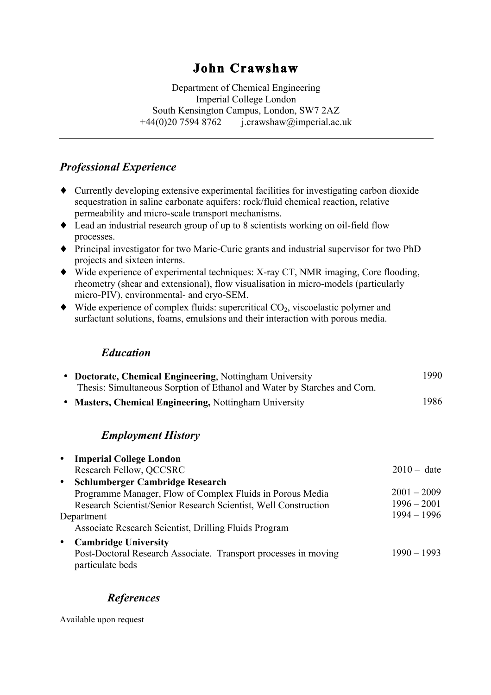# **John Crawshaw**

Department of Chemical Engineering Imperial College London South Kensington Campus, London, SW7 2AZ  $+44(0)20$  7594 8762 j.crawshaw@imperial.ac.uk

# *Professional Experience*

- ♦ Currently developing extensive experimental facilities for investigating carbon dioxide sequestration in saline carbonate aquifers: rock/fluid chemical reaction, relative permeability and micro-scale transport mechanisms.
- ♦ Lead an industrial research group of up to 8 scientists working on oil-field flow processes.
- ♦ Principal investigator for two Marie-Curie grants and industrial supervisor for two PhD projects and sixteen interns.
- ♦ Wide experience of experimental techniques: X-ray CT, NMR imaging, Core flooding, rheometry (shear and extensional), flow visualisation in micro-models (particularly micro-PIV), environmental- and cryo-SEM.
- $\blacklozenge$  Wide experience of complex fluids: supercritical  $CO_2$ , viscoelastic polymer and surfactant solutions, foams, emulsions and their interaction with porous media.

#### *Education*

| • Doctorate, Chemical Engineering, Nottingham University                 | 1990 |
|--------------------------------------------------------------------------|------|
| Thesis: Simultaneous Sorption of Ethanol and Water by Starches and Corn. |      |
| • Masters, Chemical Engineering, Nottingham University                   | 1986 |
|                                                                          |      |

## *Employment History*

| $\bullet$  | <b>Imperial College London</b>                                                      |               |
|------------|-------------------------------------------------------------------------------------|---------------|
|            | Research Fellow, QCCSRC                                                             | $2010 - date$ |
| $\bullet$  | Schlumberger Cambridge Research                                                     |               |
|            | Programme Manager, Flow of Complex Fluids in Porous Media                           | $2001 - 2009$ |
|            | Research Scientist/Senior Research Scientist, Well Construction                     | $1996 - 2001$ |
| Department |                                                                                     | $1994 - 1996$ |
|            | Associate Research Scientist, Drilling Fluids Program                               |               |
| $\bullet$  | <b>Cambridge University</b>                                                         |               |
|            | Post-Doctoral Research Associate. Transport processes in moving<br>particulate beds | $1990 - 1993$ |

## *References*

Available upon request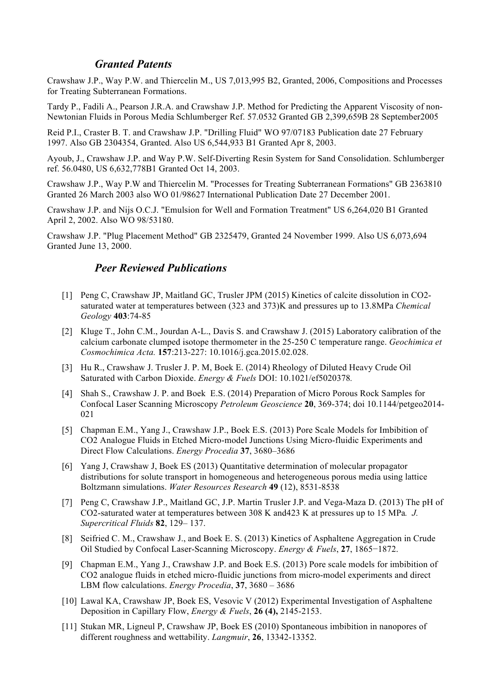#### *Granted Patents*

Crawshaw J.P., Way P.W. and Thiercelin M., US 7,013,995 B2, Granted, 2006, Compositions and Processes for Treating Subterranean Formations.

Tardy P., Fadili A., Pearson J.R.A. and Crawshaw J.P. Method for Predicting the Apparent Viscosity of non-Newtonian Fluids in Porous Media Schlumberger Ref. 57.0532 Granted GB 2,399,659B 28 September2005

Reid P.I., Craster B. T. and Crawshaw J.P. "Drilling Fluid" WO 97/07183 Publication date 27 February 1997. Also GB 2304354, Granted. Also US 6,544,933 B1 Granted Apr 8, 2003.

Ayoub, J., Crawshaw J.P. and Way P.W. Self-Diverting Resin System for Sand Consolidation. Schlumberger ref. 56.0480, US 6,632,778B1 Granted Oct 14, 2003.

Crawshaw J.P., Way P.W and Thiercelin M. "Processes for Treating Subterranean Formations" GB 2363810 Granted 26 March 2003 also WO 01/98627 International Publication Date 27 December 2001.

Crawshaw J.P. and Nijs O.C.J. "Emulsion for Well and Formation Treatment" US 6,264,020 B1 Granted April 2, 2002. Also WO 98/53180.

Crawshaw J.P. "Plug Placement Method" GB 2325479, Granted 24 November 1999. Also US 6,073,694 Granted June 13, 2000.

#### *Peer Reviewed Publications*

- [1] Peng C, Crawshaw JP, Maitland GC, Trusler JPM (2015) Kinetics of calcite dissolution in CO2 saturated water at temperatures between (323 and 373)K and pressures up to 13.8MPa *Chemical Geology* **403**:74-85
- [2] Kluge T., John C.M., Jourdan A-L., Davis S. and Crawshaw J. (2015) Laboratory calibration of the calcium carbonate clumped isotope thermometer in the 25-250 C temperature range. *Geochimica et Cosmochimica Acta.* **157**:213-227: 10.1016/j.gca.2015.02.028.
- [3] Hu R., Crawshaw J. Trusler J. P. M, Boek E. (2014) Rheology of Diluted Heavy Crude Oil Saturated with Carbon Dioxide. *Energy & Fuels* DOI: 10.1021/ef5020378*.*
- [4] Shah S., Crawshaw J. P. and Boek E.S. (2014) Preparation of Micro Porous Rock Samples for Confocal Laser Scanning Microscopy *Petroleum Geoscience* **20**, 369-374; doi 10.1144/petgeo2014- 021
- [5] Chapman E.M., Yang J., Crawshaw J.P., Boek E.S. (2013) Pore Scale Models for Imbibition of CO2 Analogue Fluids in Etched Micro-model Junctions Using Micro-fluidic Experiments and Direct Flow Calculations. *Energy Procedia* **37**, 3680–3686
- [6] Yang J, Crawshaw J, Boek ES (2013) Quantitative determination of molecular propagator distributions for solute transport in homogeneous and heterogeneous porous media using lattice Boltzmann simulations. *Water Resources Research* **49** (12), 8531-8538
- [7] Peng C, Crawshaw J.P., Maitland GC, J.P. Martin Trusler J.P. and Vega-Maza D. (2013) The pH of CO2-saturated water at temperatures between 308 K and423 K at pressures up to 15 MPa*. J. Supercritical Fluids* **82**, 129– 137.
- [8] Seifried C. M., Crawshaw J., and Boek E. S. (2013) Kinetics of Asphaltene Aggregation in Crude Oil Studied by Confocal Laser-Scanning Microscopy. *Energy & Fuels*, **27**, 1865−1872.
- [9] Chapman E.M., Yang J., Crawshaw J.P. and Boek E.S. (2013) Pore scale models for imbibition of CO2 analogue fluids in etched micro-fluidic junctions from micro-model experiments and direct LBM flow calculations. *Energy Procedia*, **37**, 3680 – 3686
- [10] Lawal KA, Crawshaw JP, Boek ES, Vesovic V (2012) Experimental Investigation of Asphaltene Deposition in Capillary Flow, *Energy & Fuels*, **26 (4),** 2145-2153.
- [11] Stukan MR, Ligneul P, Crawshaw JP, Boek ES (2010) Spontaneous imbibition in nanopores of different roughness and wettability. *Langmuir*, **26**, 13342-13352.